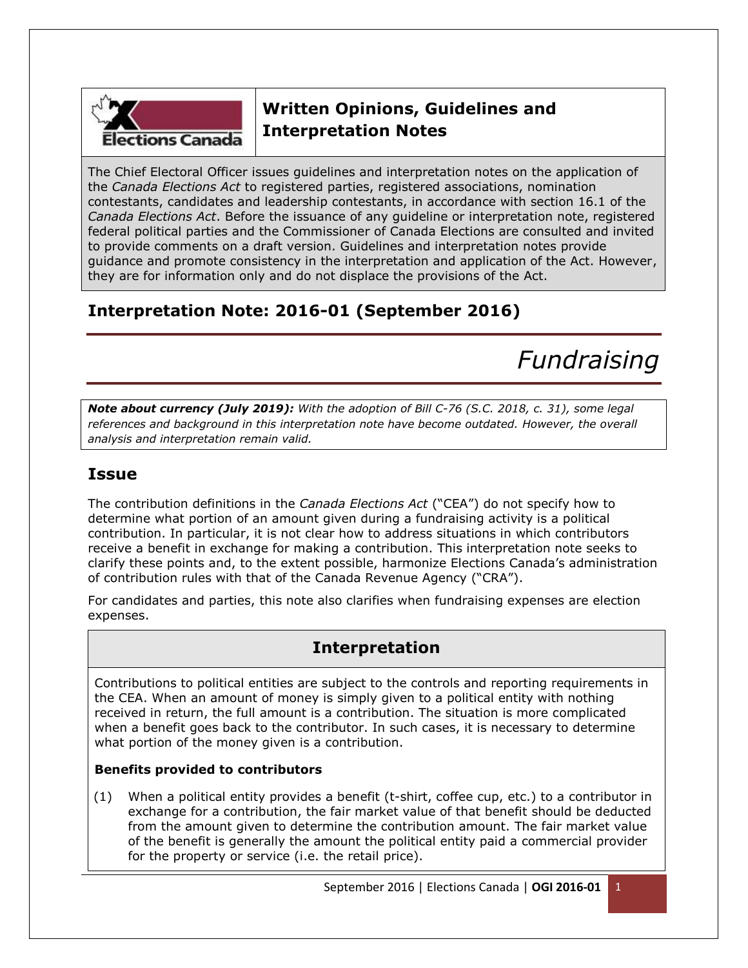

# **Written Opinions, Guidelines and Interpretation Notes**

The Chief Electoral Officer issues guidelines and interpretation notes on the application of the *Canada Elections Act* to registered parties, registered associations, nomination contestants, candidates and leadership contestants, in accordance with section 16.1 of the *Canada Elections Act*. Before the issuance of any guideline or interpretation note, registered federal political parties and the Commissioner of Canada Elections are consulted and invited to provide comments on a draft version. Guidelines and interpretation notes provide guidance and promote consistency in the interpretation and application of the Act. However, they are for information only and do not displace the provisions of the Act.

# **Interpretation Note: 2016-01 (September 2016)**

*Fundraising*

*Note about currency (July 2019): With the adoption of Bill C-76 (S.C. 2018, c. 31), some legal references and background in this interpretation note have become outdated. However, the overall analysis and interpretation remain valid.*

## **Issue**

The contribution definitions in the *Canada Elections Act* ("CEA") do not specify how to determine what portion of an amount given during a fundraising activity is a political contribution. In particular, it is not clear how to address situations in which contributors receive a benefit in exchange for making a contribution. This interpretation note seeks to clarify these points and, to the extent possible, harmonize Elections Canada's administration of contribution rules with that of the Canada Revenue Agency ("CRA").

For candidates and parties, this note also clarifies when fundraising expenses are election expenses.

## **Interpretation**

Contributions to political entities are subject to the controls and reporting requirements in the CEA. When an amount of money is simply given to a political entity with nothing received in return, the full amount is a contribution. The situation is more complicated when a benefit goes back to the contributor. In such cases, it is necessary to determine what portion of the money given is a contribution.

## **Benefits provided to contributors**

(1) When a political entity provides a benefit (t-shirt, coffee cup, etc.) to a contributor in exchange for a contribution, the fair market value of that benefit should be deducted from the amount given to determine the contribution amount. The fair market value of the benefit is generally the amount the political entity paid a commercial provider for the property or service (i.e. the retail price).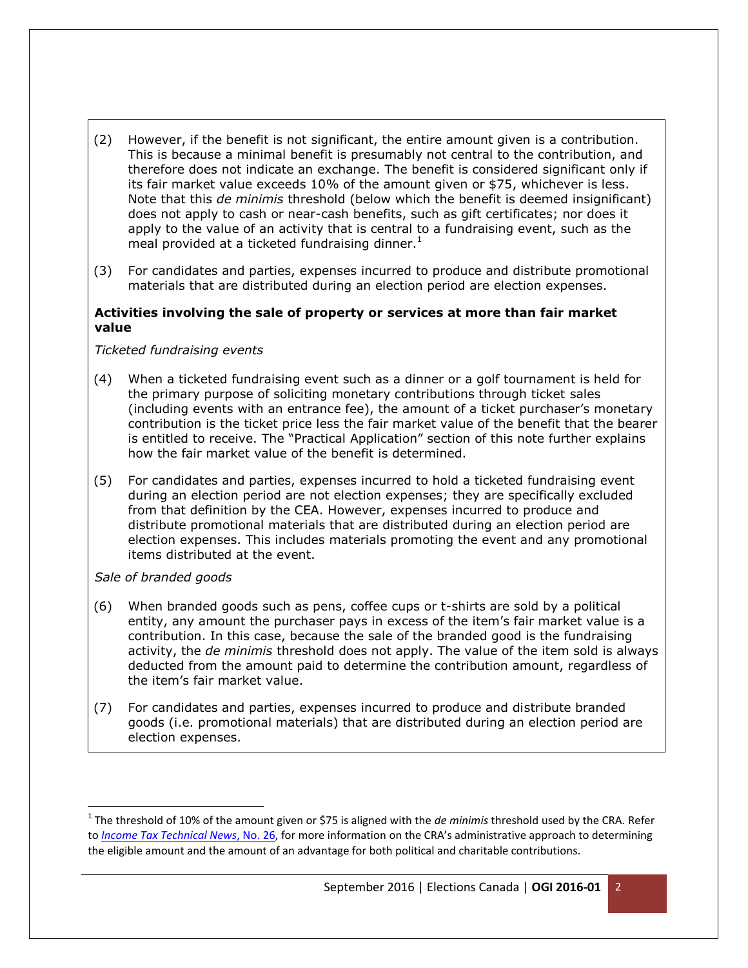- (2) However, if the benefit is not significant, the entire amount given is a contribution. This is because a minimal benefit is presumably not central to the contribution, and therefore does not indicate an exchange. The benefit is considered significant only if its fair market value exceeds 10% of the amount given or \$75, whichever is less. Note that this *de minimis* threshold (below which the benefit is deemed insignificant) does not apply to cash or near-cash benefits, such as gift certificates; nor does it apply to the value of an activity that is central to a fundraising event, such as the meal provided at a ticketed fundraising dinner. $<sup>1</sup>$ </sup>
- (3) For candidates and parties, expenses incurred to produce and distribute promotional materials that are distributed during an election period are election expenses.

## **Activities involving the sale of property or services at more than fair market value**

*Ticketed fundraising events*

- (4) When a ticketed fundraising event such as a dinner or a golf tournament is held for the primary purpose of soliciting monetary contributions through ticket sales (including events with an entrance fee), the amount of a ticket purchaser's monetary contribution is the ticket price less the fair market value of the benefit that the bearer is entitled to receive. The "Practical Application" section of this note further explains how the fair market value of the benefit is determined.
- (5) For candidates and parties, expenses incurred to hold a ticketed fundraising event during an election period are not election expenses; they are specifically excluded from that definition by the CEA. However, expenses incurred to produce and distribute promotional materials that are distributed during an election period are election expenses. This includes materials promoting the event and any promotional items distributed at the event.

## *Sale of branded goods*

 $\overline{\phantom{a}}$ 

- (6) When branded goods such as pens, coffee cups or t-shirts are sold by a political entity, any amount the purchaser pays in excess of the item's fair market value is a contribution. In this case, because the sale of the branded good is the fundraising activity, the *de minimis* threshold does not apply. The value of the item sold is always deducted from the amount paid to determine the contribution amount, regardless of the item's fair market value.
- (7) For candidates and parties, expenses incurred to produce and distribute branded goods (i.e. promotional materials) that are distributed during an election period are election expenses.

<sup>&</sup>lt;sup>1</sup> The threshold of 10% of the amount given or \$75 is aligned with the *de minimis* threshold used by the CRA. Refer to *[Income Tax Technical News](http://www.cra-arc.gc.ca/E/pub/tp/itnews-26/itnews-26-e.pdf)*, No. 26, for more information on the CRA's administrative approach to determining the eligible amount and the amount of an advantage for both political and charitable contributions.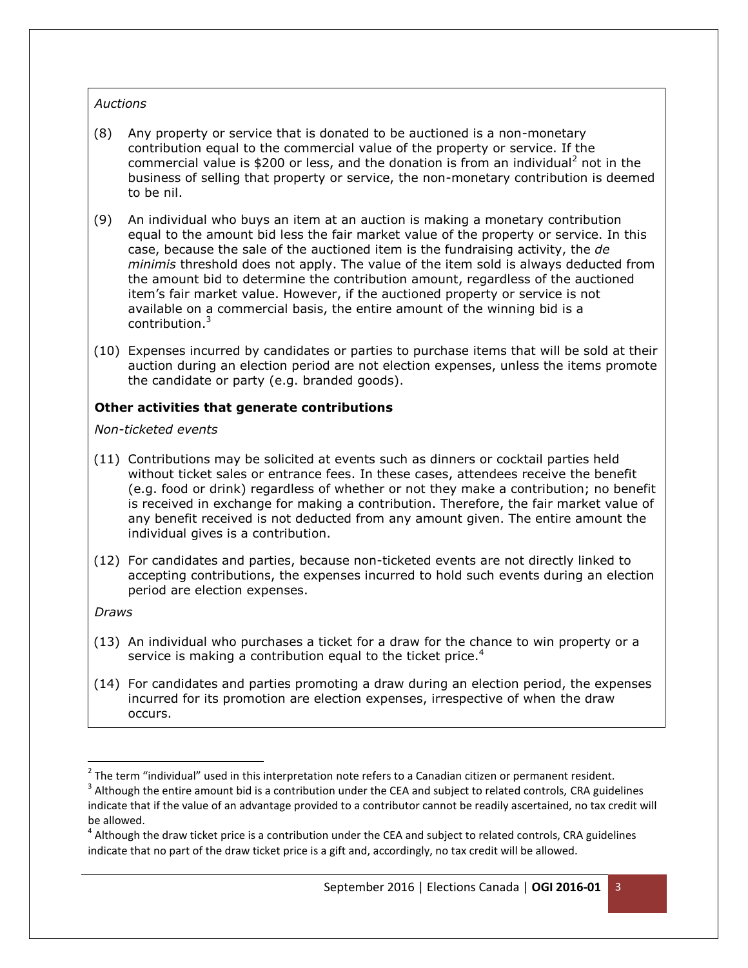## *Auctions*

- (8) Any property or service that is donated to be auctioned is a non-monetary contribution equal to the commercial value of the property or service. If the commercial value is \$200 or less, and the donation is from an individual<sup>2</sup> not in the business of selling that property or service, the non-monetary contribution is deemed to be nil.
- (9) An individual who buys an item at an auction is making a monetary contribution equal to the amount bid less the fair market value of the property or service. In this case, because the sale of the auctioned item is the fundraising activity, the *de minimis* threshold does not apply. The value of the item sold is always deducted from the amount bid to determine the contribution amount, regardless of the auctioned item's fair market value. However, if the auctioned property or service is not available on a commercial basis, the entire amount of the winning bid is a contribution. 3
- (10) Expenses incurred by candidates or parties to purchase items that will be sold at their auction during an election period are not election expenses, unless the items promote the candidate or party (e.g. branded goods).

## **Other activities that generate contributions**

*Non-ticketed events*

- (11) Contributions may be solicited at events such as dinners or cocktail parties held without ticket sales or entrance fees. In these cases, attendees receive the benefit (e.g. food or drink) regardless of whether or not they make a contribution; no benefit is received in exchange for making a contribution. Therefore, the fair market value of any benefit received is not deducted from any amount given. The entire amount the individual gives is a contribution.
- (12) For candidates and parties, because non-ticketed events are not directly linked to accepting contributions, the expenses incurred to hold such events during an election period are election expenses.

*Draws*

 $\overline{a}$ 

- (13) An individual who purchases a ticket for a draw for the chance to win property or a service is making a contribution equal to the ticket price. $4$
- (14) For candidates and parties promoting a draw during an election period, the expenses incurred for its promotion are election expenses, irrespective of when the draw occurs.

 $^{2}$  The term "individual" used in this interpretation note refers to a Canadian citizen or permanent resident.

 $^3$  Although the entire amount bid is a contribution under the CEA and subject to related controls, CRA guidelines indicate that if the value of an advantage provided to a contributor cannot be readily ascertained, no tax credit will be allowed.

 $^4$  Although the draw ticket price is a contribution under the CEA and subject to related controls, CRA guidelines indicate that no part of the draw ticket price is a gift and, accordingly, no tax credit will be allowed.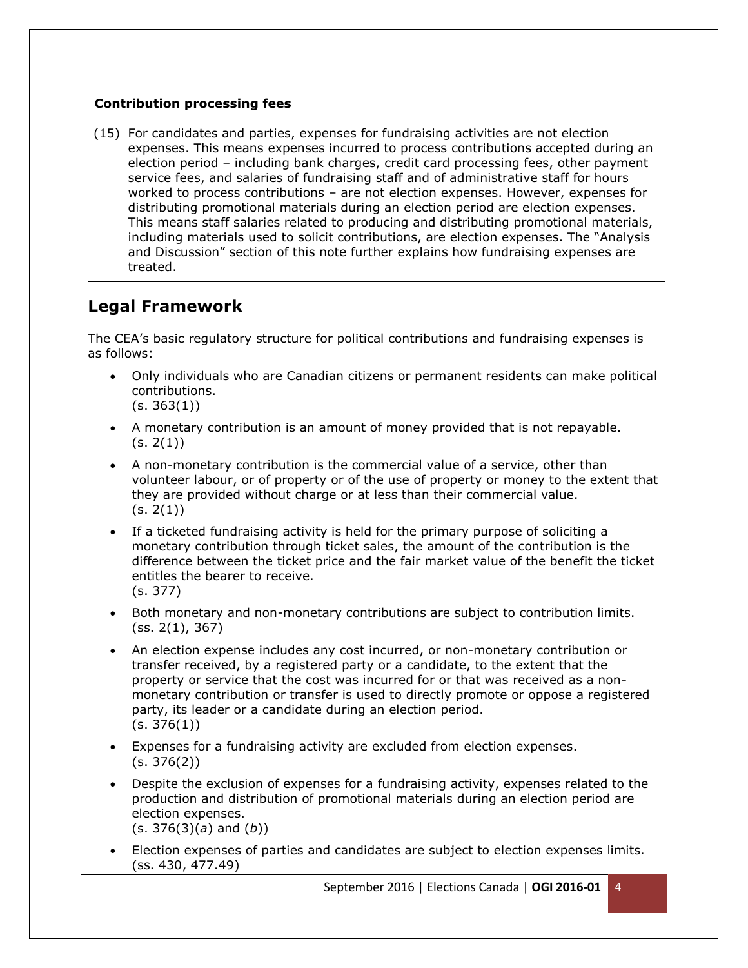## **Contribution processing fees**

(15) For candidates and parties, expenses for fundraising activities are not election expenses. This means expenses incurred to process contributions accepted during an election period – including bank charges, credit card processing fees, other payment service fees, and salaries of fundraising staff and of administrative staff for hours worked to process contributions – are not election expenses. However, expenses for distributing promotional materials during an election period are election expenses. This means staff salaries related to producing and distributing promotional materials, including materials used to solicit contributions, are election expenses. The "Analysis and Discussion" section of this note further explains how fundraising expenses are treated.

## **Legal Framework**

The CEA's basic regulatory structure for political contributions and fundraising expenses is as follows:

- Only individuals who are Canadian citizens or permanent residents can make political contributions.  $(s. 363(1))$
- A monetary contribution is an amount of money provided that is not repayable.  $(s. 2(1))$
- A non-monetary contribution is the commercial value of a service, other than volunteer labour, or of property or of the use of property or money to the extent that they are provided without charge or at less than their commercial value.  $(s. 2(1))$
- If a ticketed fundraising activity is held for the primary purpose of soliciting a monetary contribution through ticket sales, the amount of the contribution is the difference between the ticket price and the fair market value of the benefit the ticket entitles the bearer to receive. (s. 377)
- Both monetary and non-monetary contributions are subject to contribution limits. (ss. 2(1), 367)
- An election expense includes any cost incurred, or non-monetary contribution or transfer received, by a registered party or a candidate, to the extent that the property or service that the cost was incurred for or that was received as a nonmonetary contribution or transfer is used to directly promote or oppose a registered party, its leader or a candidate during an election period.  $(s. 376(1))$
- Expenses for a fundraising activity are excluded from election expenses.  $(s. 376(2))$
- Despite the exclusion of expenses for a fundraising activity, expenses related to the production and distribution of promotional materials during an election period are election expenses. (s. 376(3)(*a*) and (*b*))
- Election expenses of parties and candidates are subject to election expenses limits. (ss. 430, 477.49)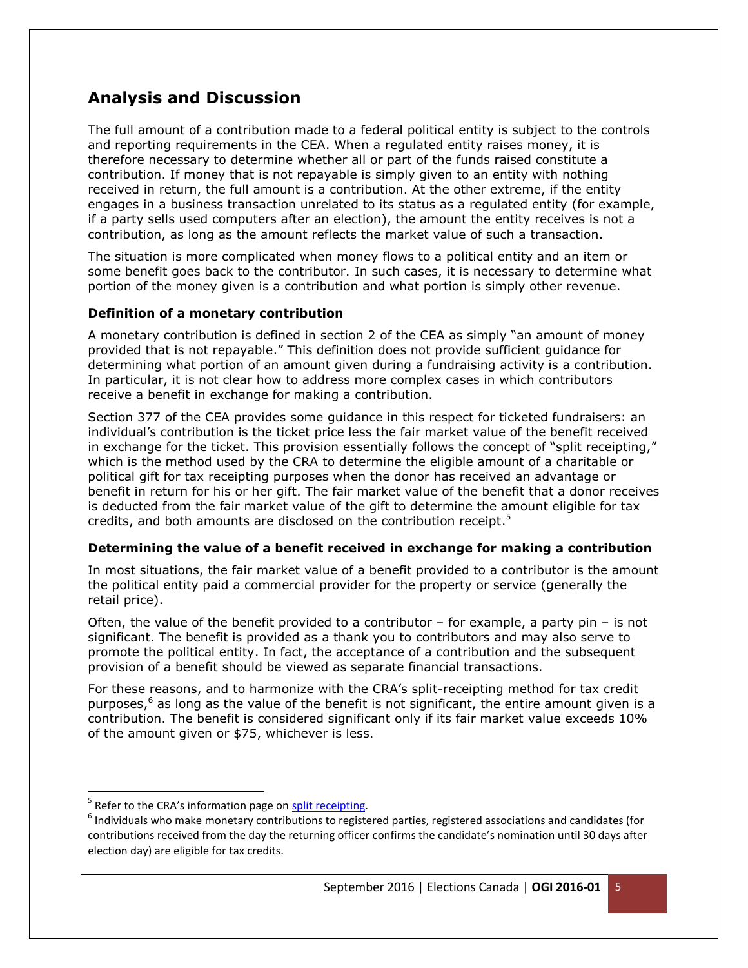## **Analysis and Discussion**

The full amount of a contribution made to a federal political entity is subject to the controls and reporting requirements in the CEA. When a regulated entity raises money, it is therefore necessary to determine whether all or part of the funds raised constitute a contribution. If money that is not repayable is simply given to an entity with nothing received in return, the full amount is a contribution. At the other extreme, if the entity engages in a business transaction unrelated to its status as a regulated entity (for example, if a party sells used computers after an election), the amount the entity receives is not a contribution, as long as the amount reflects the market value of such a transaction.

The situation is more complicated when money flows to a political entity and an item or some benefit goes back to the contributor. In such cases, it is necessary to determine what portion of the money given is a contribution and what portion is simply other revenue.

## **Definition of a monetary contribution**

A monetary contribution is defined in section 2 of the CEA as simply "an amount of money provided that is not repayable." This definition does not provide sufficient guidance for determining what portion of an amount given during a fundraising activity is a contribution. In particular, it is not clear how to address more complex cases in which contributors receive a benefit in exchange for making a contribution.

Section 377 of the CEA provides some guidance in this respect for ticketed fundraisers: an individual's contribution is the ticket price less the fair market value of the benefit received in exchange for the ticket. This provision essentially follows the concept of "split receipting," which is the method used by the CRA to determine the eligible amount of a charitable or political gift for tax receipting purposes when the donor has received an advantage or benefit in return for his or her gift. The fair market value of the benefit that a donor receives is deducted from the fair market value of the gift to determine the amount eligible for tax credits, and both amounts are disclosed on the contribution receipt.<sup>5</sup>

## **Determining the value of a benefit received in exchange for making a contribution**

In most situations, the fair market value of a benefit provided to a contributor is the amount the political entity paid a commercial provider for the property or service (generally the retail price).

Often, the value of the benefit provided to a contributor  $-$  for example, a party pin  $-$  is not significant. The benefit is provided as a thank you to contributors and may also serve to promote the political entity. In fact, the acceptance of a contribution and the subsequent provision of a benefit should be viewed as separate financial transactions.

For these reasons, and to harmonize with the CRA's split-receipting method for tax credit purposes,<sup>6</sup> as long as the value of the benefit is not significant, the entire amount given is a contribution. The benefit is considered significant only if its fair market value exceeds 10% of the amount given or \$75, whichever is less.

 $\overline{a}$ 

<sup>&</sup>lt;sup>5</sup> Refer to the CRA's information page on **split receipting**.

 $^6$  Individuals who make monetary contributions to registered parties, registered associations and candidates (for contributions received from the day the returning officer confirms the candidate's nomination until 30 days after election day) are eligible for tax credits.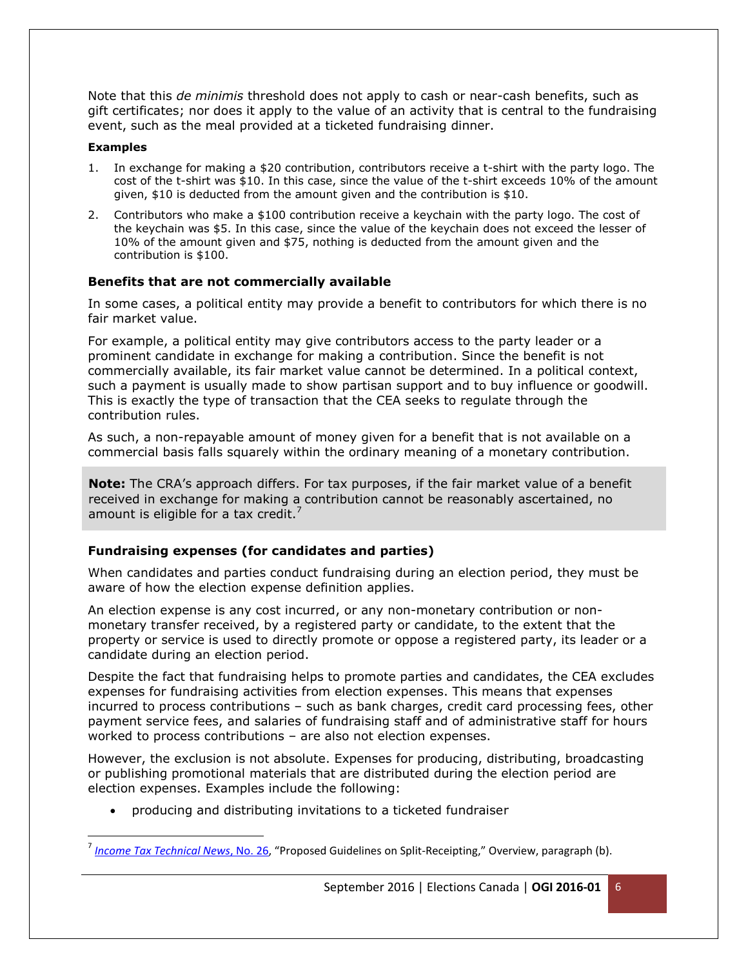Note that this *de minimis* threshold does not apply to cash or near-cash benefits, such as gift certificates; nor does it apply to the value of an activity that is central to the fundraising event, such as the meal provided at a ticketed fundraising dinner.

#### **Examples**

 $\overline{a}$ 

- 1. In exchange for making a \$20 contribution, contributors receive a t-shirt with the party logo. The cost of the t-shirt was \$10. In this case, since the value of the t-shirt exceeds 10% of the amount given, \$10 is deducted from the amount given and the contribution is \$10.
- 2. Contributors who make a \$100 contribution receive a keychain with the party logo. The cost of the keychain was \$5. In this case, since the value of the keychain does not exceed the lesser of 10% of the amount given and \$75, nothing is deducted from the amount given and the contribution is \$100.

## **Benefits that are not commercially available**

In some cases, a political entity may provide a benefit to contributors for which there is no fair market value.

For example, a political entity may give contributors access to the party leader or a prominent candidate in exchange for making a contribution. Since the benefit is not commercially available, its fair market value cannot be determined. In a political context, such a payment is usually made to show partisan support and to buy influence or goodwill. This is exactly the type of transaction that the CEA seeks to regulate through the contribution rules.

As such, a non-repayable amount of money given for a benefit that is not available on a commercial basis falls squarely within the ordinary meaning of a monetary contribution.

**Note:** The CRA's approach differs. For tax purposes, if the fair market value of a benefit received in exchange for making a contribution cannot be reasonably ascertained, no amount is eligible for a tax credit.<sup>7</sup>

## **Fundraising expenses (for candidates and parties)**

When candidates and parties conduct fundraising during an election period, they must be aware of how the election expense definition applies.

An election expense is any cost incurred, or any non-monetary contribution or nonmonetary transfer received, by a registered party or candidate, to the extent that the property or service is used to directly promote or oppose a registered party, its leader or a candidate during an election period.

Despite the fact that fundraising helps to promote parties and candidates, the CEA excludes expenses for fundraising activities from election expenses. This means that expenses incurred to process contributions – such as bank charges, credit card processing fees, other payment service fees, and salaries of fundraising staff and of administrative staff for hours worked to process contributions – are also not election expenses.

However, the exclusion is not absolute. Expenses for producing, distributing, broadcasting or publishing promotional materials that are distributed during the election period are election expenses. Examples include the following:

producing and distributing invitations to a ticketed fundraiser

<sup>7</sup> *[Income Tax Technical News](http://www.cra-arc.gc.ca/E/pub/tp/itnews-26/itnews-26-e.pdf)*, No. 26, "Proposed Guidelines on Split-Receipting," Overview, paragraph (b).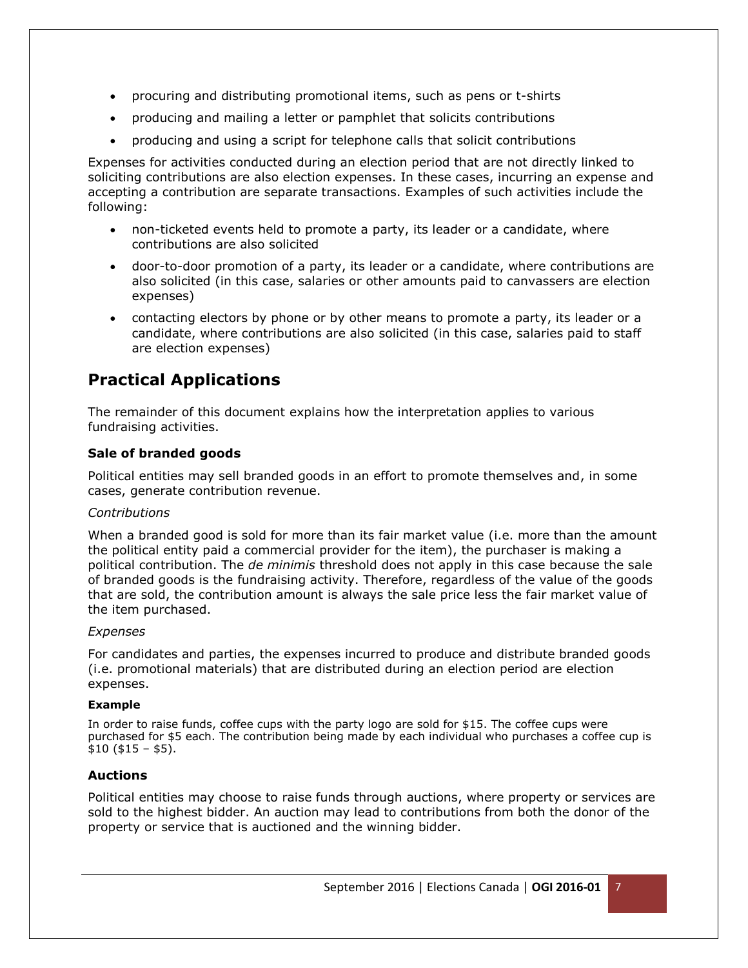- procuring and distributing promotional items, such as pens or t-shirts
- producing and mailing a letter or pamphlet that solicits contributions
- producing and using a script for telephone calls that solicit contributions

Expenses for activities conducted during an election period that are not directly linked to soliciting contributions are also election expenses. In these cases, incurring an expense and accepting a contribution are separate transactions. Examples of such activities include the following:

- non-ticketed events held to promote a party, its leader or a candidate, where contributions are also solicited
- door-to-door promotion of a party, its leader or a candidate, where contributions are also solicited (in this case, salaries or other amounts paid to canvassers are election expenses)
- contacting electors by phone or by other means to promote a party, its leader or a candidate, where contributions are also solicited (in this case, salaries paid to staff are election expenses)

## **Practical Applications**

The remainder of this document explains how the interpretation applies to various fundraising activities.

## **Sale of branded goods**

Political entities may sell branded goods in an effort to promote themselves and, in some cases, generate contribution revenue.

## *Contributions*

When a branded good is sold for more than its fair market value (i.e. more than the amount the political entity paid a commercial provider for the item), the purchaser is making a political contribution. The *de minimis* threshold does not apply in this case because the sale of branded goods is the fundraising activity. Therefore, regardless of the value of the goods that are sold, the contribution amount is always the sale price less the fair market value of the item purchased.

## *Expenses*

For candidates and parties, the expenses incurred to produce and distribute branded goods (i.e. promotional materials) that are distributed during an election period are election expenses.

## **Example**

In order to raise funds, coffee cups with the party logo are sold for \$15. The coffee cups were purchased for \$5 each. The contribution being made by each individual who purchases a coffee cup is  $$10 ( $15 - $5).$ 

## **Auctions**

Political entities may choose to raise funds through auctions, where property or services are sold to the highest bidder. An auction may lead to contributions from both the donor of the property or service that is auctioned and the winning bidder.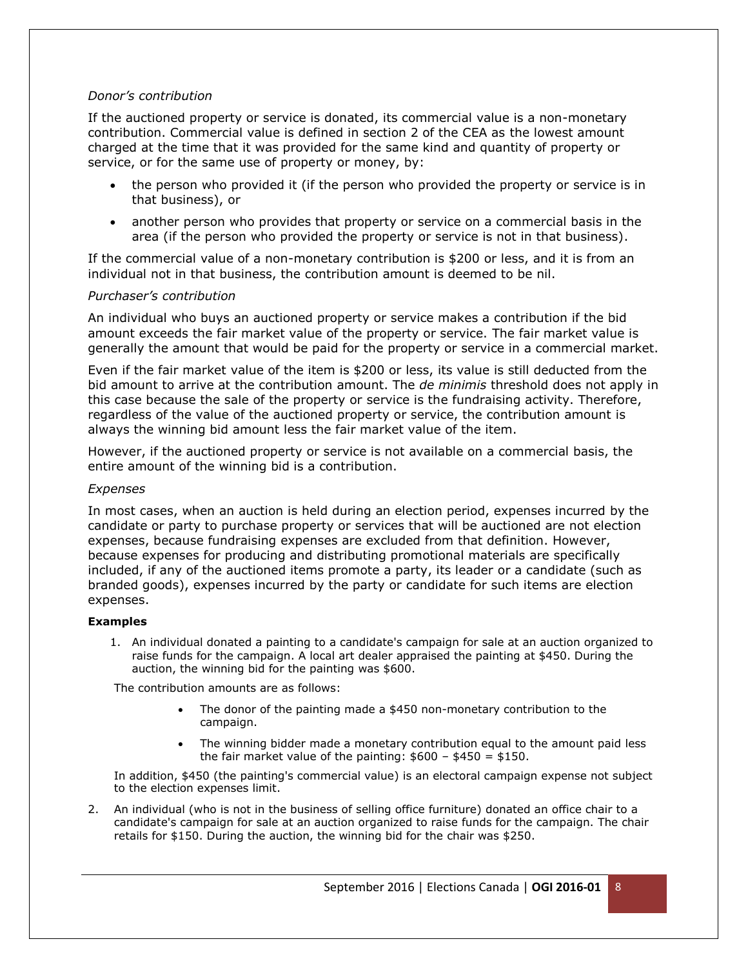#### *Donor's contribution*

If the auctioned property or service is donated, its commercial value is a non-monetary contribution. Commercial value is defined in section 2 of the CEA as the lowest amount charged at the time that it was provided for the same kind and quantity of property or service, or for the same use of property or money, by:

- the person who provided it (if the person who provided the property or service is in that business), or
- another person who provides that property or service on a commercial basis in the area (if the person who provided the property or service is not in that business).

If the commercial value of a non-monetary contribution is \$200 or less, and it is from an individual not in that business, the contribution amount is deemed to be nil.

#### *Purchaser's contribution*

An individual who buys an auctioned property or service makes a contribution if the bid amount exceeds the fair market value of the property or service. The fair market value is generally the amount that would be paid for the property or service in a commercial market.

Even if the fair market value of the item is \$200 or less, its value is still deducted from the bid amount to arrive at the contribution amount. The *de minimis* threshold does not apply in this case because the sale of the property or service is the fundraising activity. Therefore, regardless of the value of the auctioned property or service, the contribution amount is always the winning bid amount less the fair market value of the item.

However, if the auctioned property or service is not available on a commercial basis, the entire amount of the winning bid is a contribution.

#### *Expenses*

In most cases, when an auction is held during an election period, expenses incurred by the candidate or party to purchase property or services that will be auctioned are not election expenses, because fundraising expenses are excluded from that definition. However, because expenses for producing and distributing promotional materials are specifically included, if any of the auctioned items promote a party, its leader or a candidate (such as branded goods), expenses incurred by the party or candidate for such items are election expenses.

#### **Examples**

1. An individual donated a painting to a candidate's campaign for sale at an auction organized to raise funds for the campaign. A local art dealer appraised the painting at \$450. During the auction, the winning bid for the painting was \$600.

The contribution amounts are as follows:

- The donor of the painting made a \$450 non-monetary contribution to the campaign.
- The winning bidder made a monetary contribution equal to the amount paid less the fair market value of the painting:  $$600 - $450 = $150$ .

In addition, \$450 (the painting's commercial value) is an electoral campaign expense not subject to the election expenses limit.

2. An individual (who is not in the business of selling office furniture) donated an office chair to a candidate's campaign for sale at an auction organized to raise funds for the campaign. The chair retails for \$150. During the auction, the winning bid for the chair was \$250.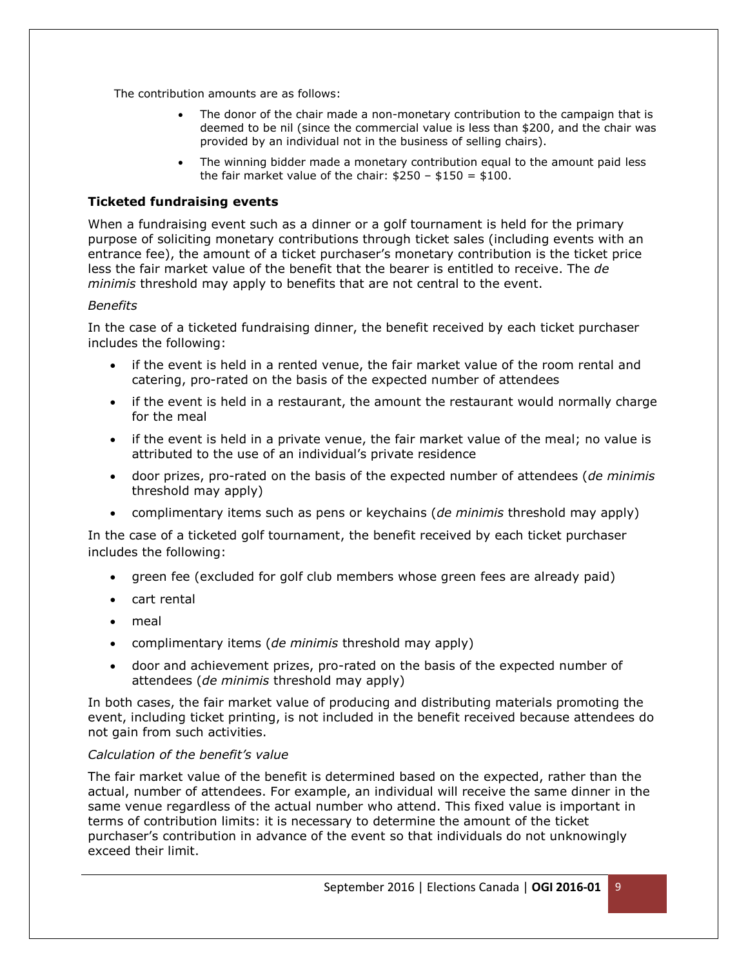The contribution amounts are as follows:

- The donor of the chair made a non-monetary contribution to the campaign that is deemed to be nil (since the commercial value is less than \$200, and the chair was provided by an individual not in the business of selling chairs).
- The winning bidder made a monetary contribution equal to the amount paid less the fair market value of the chair:  $$250 - $150 = $100$ .

## **Ticketed fundraising events**

When a fundraising event such as a dinner or a golf tournament is held for the primary purpose of soliciting monetary contributions through ticket sales (including events with an entrance fee), the amount of a ticket purchaser's monetary contribution is the ticket price less the fair market value of the benefit that the bearer is entitled to receive. The *de minimis* threshold may apply to benefits that are not central to the event.

## *Benefits*

In the case of a ticketed fundraising dinner, the benefit received by each ticket purchaser includes the following:

- if the event is held in a rented venue, the fair market value of the room rental and catering, pro-rated on the basis of the expected number of attendees
- if the event is held in a restaurant, the amount the restaurant would normally charge for the meal
- if the event is held in a private venue, the fair market value of the meal; no value is attributed to the use of an individual's private residence
- door prizes, pro-rated on the basis of the expected number of attendees (*de minimis* threshold may apply)
- complimentary items such as pens or keychains (*de minimis* threshold may apply)

In the case of a ticketed golf tournament, the benefit received by each ticket purchaser includes the following:

- green fee (excluded for golf club members whose green fees are already paid)
- cart rental
- meal
- complimentary items (*de minimis* threshold may apply)
- door and achievement prizes, pro-rated on the basis of the expected number of attendees (*de minimis* threshold may apply)

In both cases, the fair market value of producing and distributing materials promoting the event, including ticket printing, is not included in the benefit received because attendees do not gain from such activities.

## *Calculation of the benefit's value*

The fair market value of the benefit is determined based on the expected, rather than the actual, number of attendees. For example, an individual will receive the same dinner in the same venue regardless of the actual number who attend. This fixed value is important in terms of contribution limits: it is necessary to determine the amount of the ticket purchaser's contribution in advance of the event so that individuals do not unknowingly exceed their limit.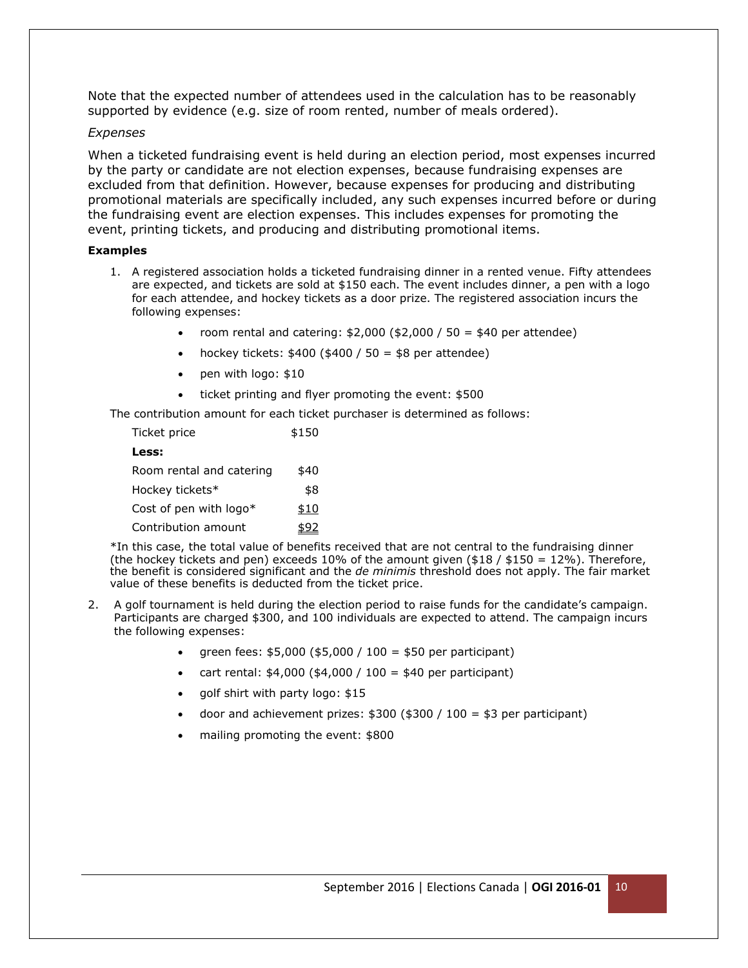Note that the expected number of attendees used in the calculation has to be reasonably supported by evidence (e.g. size of room rented, number of meals ordered).

#### *Expenses*

When a ticketed fundraising event is held during an election period, most expenses incurred by the party or candidate are not election expenses, because fundraising expenses are excluded from that definition. However, because expenses for producing and distributing promotional materials are specifically included, any such expenses incurred before or during the fundraising event are election expenses. This includes expenses for promoting the event, printing tickets, and producing and distributing promotional items.

#### **Examples**

- 1. A registered association holds a ticketed fundraising dinner in a rented venue. Fifty attendees are expected, and tickets are sold at \$150 each. The event includes dinner, a pen with a logo for each attendee, and hockey tickets as a door prize. The registered association incurs the following expenses:
	- room rental and catering: \$2,000 (\$2,000 / 50 = \$40 per attendee)
	- hockey tickets:  $$400 ($400 / 50 = $8$ per attendance)$
	- pen with logo: \$10
	- ticket printing and flyer promoting the event: \$500

The contribution amount for each ticket purchaser is determined as follows:

| Ticket price             | \$150 |
|--------------------------|-------|
| Less:                    |       |
| Room rental and catering | \$40  |
| Hockey tickets*          | \$8   |
| Cost of pen with logo*   | \$10  |
| Contribution amount      |       |

\*In this case, the total value of benefits received that are not central to the fundraising dinner (the hockey tickets and pen) exceeds 10% of the amount given (\$18 / \$150 = 12%). Therefore, the benefit is considered significant and the *de minimis* threshold does not apply. The fair market value of these benefits is deducted from the ticket price.

- 2. A golf tournament is held during the election period to raise funds for the candidate's campaign. Participants are charged \$300, and 100 individuals are expected to attend. The campaign incurs the following expenses:
	- green fees: \$5,000 (\$5,000 / 100 = \$50 per participant)
	- cart rental: \$4,000 (\$4,000 / 100 = \$40 per participant)
	- golf shirt with party logo: \$15
	- door and achievement prizes:  $$300$  ( $$300$  /  $100 = $3$  per participant)
	- mailing promoting the event: \$800